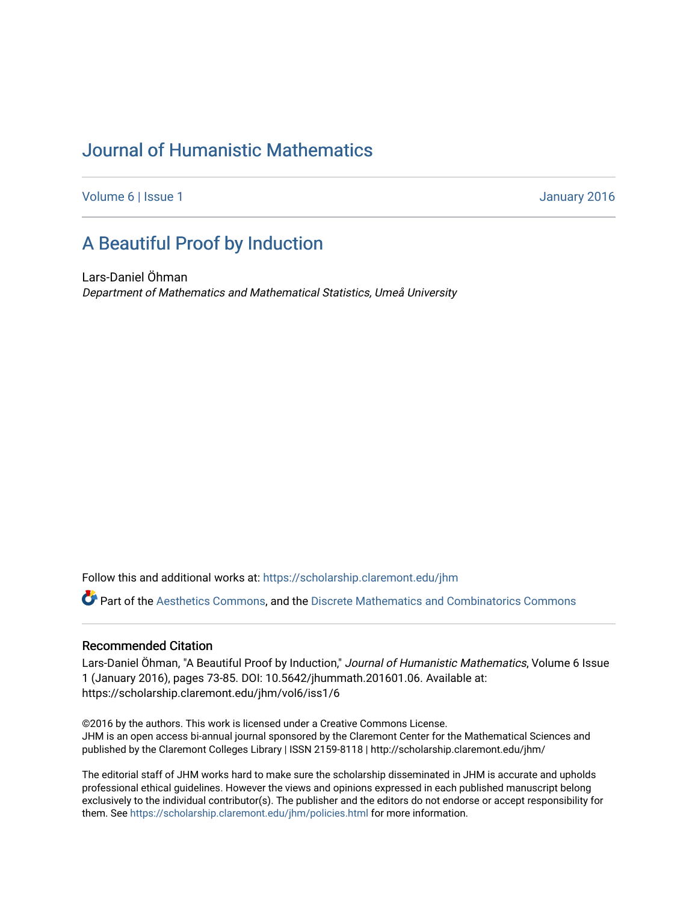# [Journal of Humanistic Mathematics](https://scholarship.claremont.edu/jhm)

[Volume 6](https://scholarship.claremont.edu/jhm/vol6) | [Issue 1](https://scholarship.claremont.edu/jhm/vol6/iss1) January 2016

# [A Beautiful Proof by Induction](https://scholarship.claremont.edu/jhm/vol6/iss1/6)

Lars-Daniel Öhman Department of Mathematics and Mathematical Statistics, Umeå University

Follow this and additional works at: [https://scholarship.claremont.edu/jhm](https://scholarship.claremont.edu/jhm?utm_source=scholarship.claremont.edu%2Fjhm%2Fvol6%2Fiss1%2F6&utm_medium=PDF&utm_campaign=PDFCoverPages)

Part of the [Aesthetics Commons,](http://network.bepress.com/hgg/discipline/528?utm_source=scholarship.claremont.edu%2Fjhm%2Fvol6%2Fiss1%2F6&utm_medium=PDF&utm_campaign=PDFCoverPages) and the [Discrete Mathematics and Combinatorics Commons](http://network.bepress.com/hgg/discipline/178?utm_source=scholarship.claremont.edu%2Fjhm%2Fvol6%2Fiss1%2F6&utm_medium=PDF&utm_campaign=PDFCoverPages) 

## Recommended Citation

Lars-Daniel Öhman, "A Beautiful Proof by Induction," Journal of Humanistic Mathematics, Volume 6 Issue 1 (January 2016), pages 73-85. DOI: 10.5642/jhummath.201601.06. Available at: https://scholarship.claremont.edu/jhm/vol6/iss1/6

©2016 by the authors. This work is licensed under a Creative Commons License. JHM is an open access bi-annual journal sponsored by the Claremont Center for the Mathematical Sciences and published by the Claremont Colleges Library | ISSN 2159-8118 | http://scholarship.claremont.edu/jhm/

The editorial staff of JHM works hard to make sure the scholarship disseminated in JHM is accurate and upholds professional ethical guidelines. However the views and opinions expressed in each published manuscript belong exclusively to the individual contributor(s). The publisher and the editors do not endorse or accept responsibility for them. See<https://scholarship.claremont.edu/jhm/policies.html> for more information.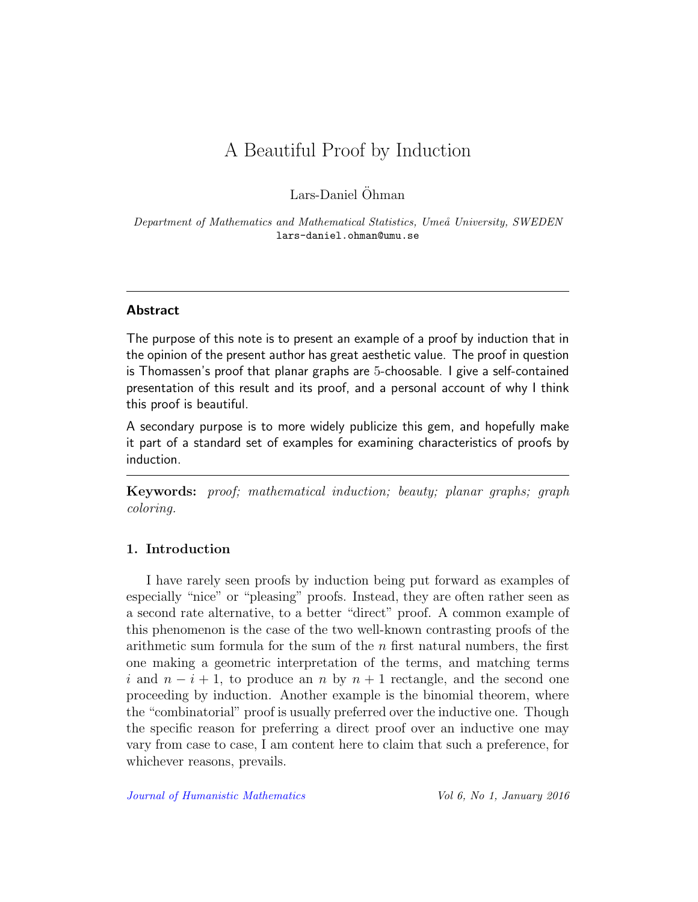# A Beautiful Proof by Induction

Lars-Daniel Öhman

Department of Mathematics and Mathematical Statistics, Umeå University, SWEDEN lars-daniel.ohman@umu.se

## Abstract

The purpose of this note is to present an example of a proof by induction that in the opinion of the present author has great aesthetic value. The proof in question is Thomassen's proof that planar graphs are 5-choosable. I give a self-contained presentation of this result and its proof, and a personal account of why I think this proof is beautiful.

A secondary purpose is to more widely publicize this gem, and hopefully make it part of a standard set of examples for examining characteristics of proofs by induction.

Keywords: proof; mathematical induction; beauty; planar graphs; graph coloring.

# 1. Introduction

I have rarely seen proofs by induction being put forward as examples of especially "nice" or "pleasing" proofs. Instead, they are often rather seen as a second rate alternative, to a better "direct" proof. A common example of this phenomenon is the case of the two well-known contrasting proofs of the arithmetic sum formula for the sum of the  $n$  first natural numbers, the first one making a geometric interpretation of the terms, and matching terms i and  $n-i+1$ , to produce an n by  $n+1$  rectangle, and the second one proceeding by induction. Another example is the binomial theorem, where the "combinatorial" proof is usually preferred over the inductive one. Though the specific reason for preferring a direct proof over an inductive one may vary from case to case, I am content here to claim that such a preference, for whichever reasons, prevails.

[Journal of Humanistic Mathematics](http://scholarship.claremont.edu/jhm/) Vol 6, No 1, January 2016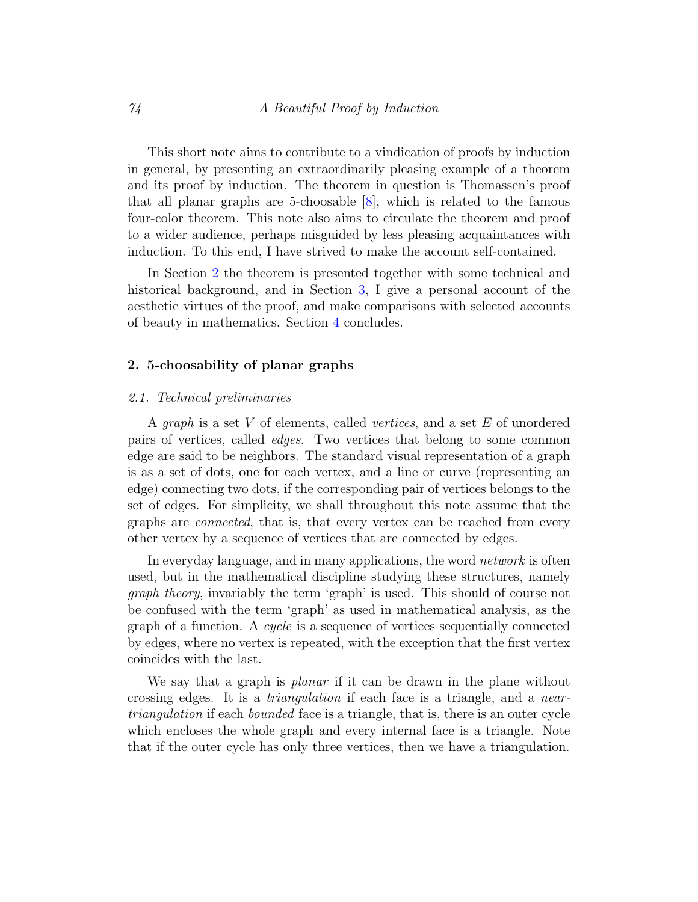This short note aims to contribute to a vindication of proofs by induction in general, by presenting an extraordinarily pleasing example of a theorem and its proof by induction. The theorem in question is Thomassen's proof that all planar graphs are 5-choosable [\[8\]](#page-13-0), which is related to the famous four-color theorem. This note also aims to circulate the theorem and proof to a wider audience, perhaps misguided by less pleasing acquaintances with induction. To this end, I have strived to make the account self-contained.

In Section [2](#page-2-0) the theorem is presented together with some technical and historical background, and in Section [3,](#page-7-0) I give a personal account of the aesthetic virtues of the proof, and make comparisons with selected accounts of beauty in mathematics. Section [4](#page-12-0) concludes.

# <span id="page-2-0"></span>2. 5-choosability of planar graphs

## 2.1. Technical preliminaries

A graph is a set V of elements, called vertices, and a set E of unordered pairs of vertices, called edges. Two vertices that belong to some common edge are said to be neighbors. The standard visual representation of a graph is as a set of dots, one for each vertex, and a line or curve (representing an edge) connecting two dots, if the corresponding pair of vertices belongs to the set of edges. For simplicity, we shall throughout this note assume that the graphs are connected, that is, that every vertex can be reached from every other vertex by a sequence of vertices that are connected by edges.

In everyday language, and in many applications, the word network is often used, but in the mathematical discipline studying these structures, namely graph theory, invariably the term 'graph' is used. This should of course not be confused with the term 'graph' as used in mathematical analysis, as the graph of a function. A cycle is a sequence of vertices sequentially connected by edges, where no vertex is repeated, with the exception that the first vertex coincides with the last.

We say that a graph is *planar* if it can be drawn in the plane without crossing edges. It is a triangulation if each face is a triangle, and a neartriangulation if each bounded face is a triangle, that is, there is an outer cycle which encloses the whole graph and every internal face is a triangle. Note that if the outer cycle has only three vertices, then we have a triangulation.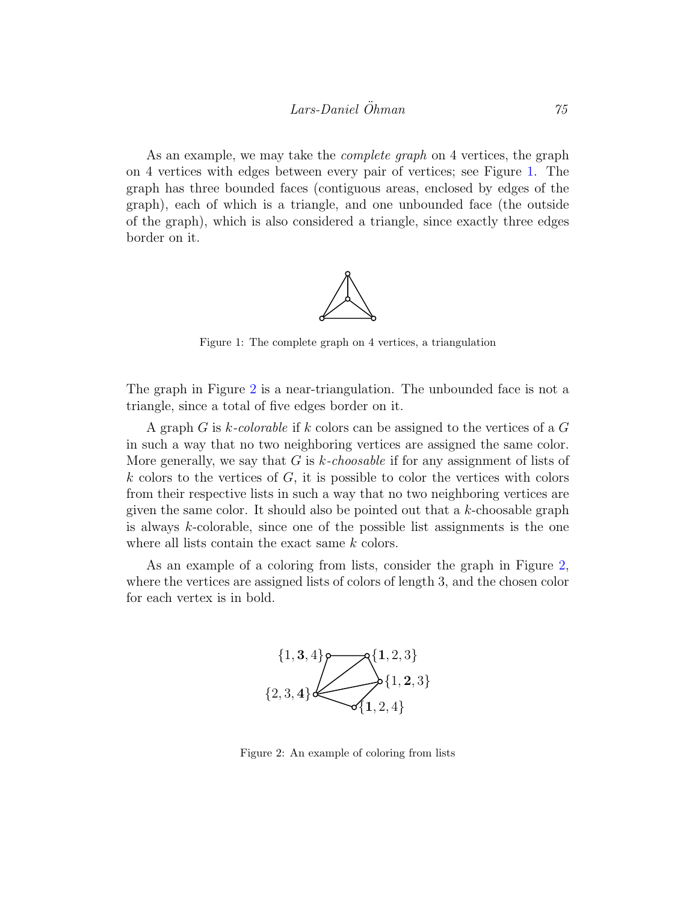As an example, we may take the *complete graph* on 4 vertices, the graph on 4 vertices with edges between every pair of vertices; see Figure [1.](#page-3-0) The graph has three bounded faces (contiguous areas, enclosed by edges of the graph), each of which is a triangle, and one unbounded face (the outside of the graph), which is also considered a triangle, since exactly three edges border on it.



<span id="page-3-0"></span>Figure 1: The complete graph on 4 vertices, a triangulation

The graph in Figure [2](#page-3-1) is a near-triangulation. The unbounded face is not a triangle, since a total of five edges border on it.

A graph G is k-colorable if k colors can be assigned to the vertices of a G in such a way that no two neighboring vertices are assigned the same color. More generally, we say that G is  $k$ -choosable if for any assignment of lists of  $k$  colors to the vertices of  $G$ , it is possible to color the vertices with colors from their respective lists in such a way that no two neighboring vertices are given the same color. It should also be pointed out that a  $k$ -choosable graph is always  $k$ -colorable, since one of the possible list assignments is the one where all lists contain the exact same k colors.

As an example of a coloring from lists, consider the graph in Figure [2,](#page-3-1) where the vertices are assigned lists of colors of length 3, and the chosen color for each vertex is in bold.



<span id="page-3-1"></span>Figure 2: An example of coloring from lists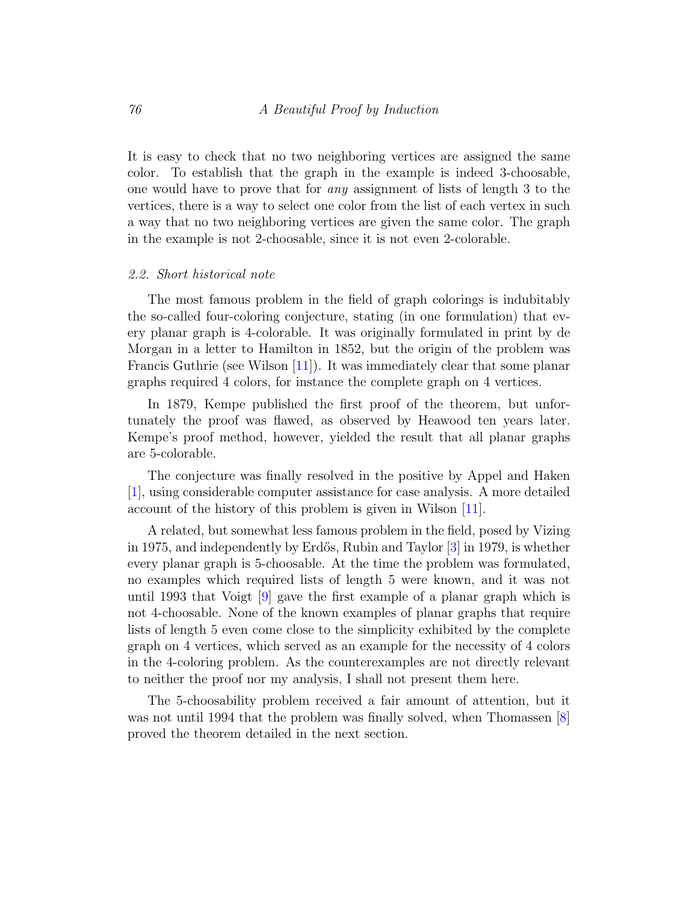It is easy to check that no two neighboring vertices are assigned the same color. To establish that the graph in the example is indeed 3-choosable, one would have to prove that for any assignment of lists of length 3 to the vertices, there is a way to select one color from the list of each vertex in such a way that no two neighboring vertices are given the same color. The graph in the example is not 2-choosable, since it is not even 2-colorable.

# 2.2. Short historical note

The most famous problem in the field of graph colorings is indubitably the so-called four-coloring conjecture, stating (in one formulation) that every planar graph is 4-colorable. It was originally formulated in print by de Morgan in a letter to Hamilton in 1852, but the origin of the problem was Francis Guthrie (see Wilson [\[11\]](#page-13-1)). It was immediately clear that some planar graphs required 4 colors, for instance the complete graph on 4 vertices.

In 1879, Kempe published the first proof of the theorem, but unfortunately the proof was flawed, as observed by Heawood ten years later. Kempe's proof method, however, yielded the result that all planar graphs are 5-colorable.

The conjecture was finally resolved in the positive by Appel and Haken [\[1\]](#page-12-1), using considerable computer assistance for case analysis. A more detailed account of the history of this problem is given in Wilson [\[11\]](#page-13-1).

A related, but somewhat less famous problem in the field, posed by Vizing in 1975, and independently by Erdős, Rubin and Taylor  $|3|$  in 1979, is whether every planar graph is 5-choosable. At the time the problem was formulated, no examples which required lists of length 5 were known, and it was not until 1993 that Voigt [\[9\]](#page-13-2) gave the first example of a planar graph which is not 4-choosable. None of the known examples of planar graphs that require lists of length 5 even come close to the simplicity exhibited by the complete graph on 4 vertices, which served as an example for the necessity of 4 colors in the 4-coloring problem. As the counterexamples are not directly relevant to neither the proof nor my analysis, I shall not present them here.

The 5-choosability problem received a fair amount of attention, but it was not until 1994 that the problem was finally solved, when Thomassen [\[8\]](#page-13-0) proved the theorem detailed in the next section.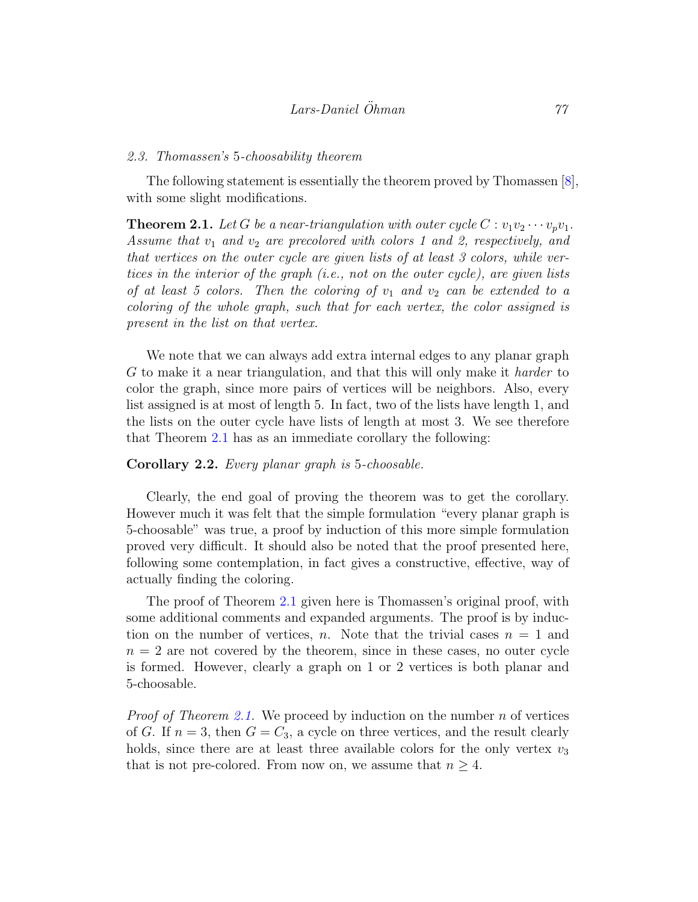#### 2.3. Thomassen's 5-choosability theorem

The following statement is essentially the theorem proved by Thomassen [\[8\]](#page-13-0), with some slight modifications.

<span id="page-5-0"></span>**Theorem 2.1.** Let G be a near-triangulation with outer cycle  $C: v_1v_2 \cdots v_pv_1$ . Assume that  $v_1$  and  $v_2$  are precolored with colors 1 and 2, respectively, and that vertices on the outer cycle are given lists of at least 3 colors, while vertices in the interior of the graph (i.e., not on the outer cycle), are given lists of at least 5 colors. Then the coloring of  $v_1$  and  $v_2$  can be extended to a coloring of the whole graph, such that for each vertex, the color assigned is present in the list on that vertex.

We note that we can always add extra internal edges to any planar graph G to make it a near triangulation, and that this will only make it harder to color the graph, since more pairs of vertices will be neighbors. Also, every list assigned is at most of length 5. In fact, two of the lists have length 1, and the lists on the outer cycle have lists of length at most 3. We see therefore that Theorem [2.1](#page-5-0) has as an immediate corollary the following:

## <span id="page-5-1"></span>Corollary 2.2. Every planar graph is 5-choosable.

Clearly, the end goal of proving the theorem was to get the corollary. However much it was felt that the simple formulation "every planar graph is 5-choosable" was true, a proof by induction of this more simple formulation proved very difficult. It should also be noted that the proof presented here, following some contemplation, in fact gives a constructive, effective, way of actually finding the coloring.

The proof of Theorem [2.1](#page-5-0) given here is Thomassen's original proof, with some additional comments and expanded arguments. The proof is by induction on the number of vertices, n. Note that the trivial cases  $n = 1$  and  $n = 2$  are not covered by the theorem, since in these cases, no outer cycle is formed. However, clearly a graph on 1 or 2 vertices is both planar and 5-choosable.

*Proof of Theorem [2.1.](#page-5-0)* We proceed by induction on the number  $n$  of vertices of G. If  $n = 3$ , then  $G = C_3$ , a cycle on three vertices, and the result clearly holds, since there are at least three available colors for the only vertex  $v_3$ that is not pre-colored. From now on, we assume that  $n \geq 4$ .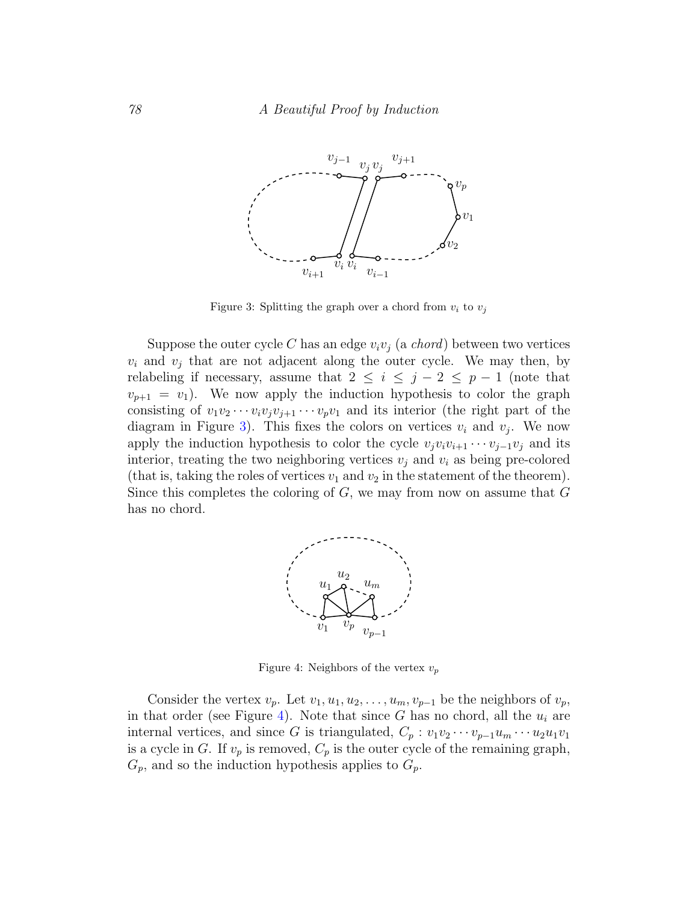

<span id="page-6-0"></span>Figure 3: Splitting the graph over a chord from  $v_i$  to  $v_j$ 

Suppose the outer cycle C has an edge  $v_i v_j$  (a *chord*) between two vertices  $v_i$  and  $v_j$  that are not adjacent along the outer cycle. We may then, by relabeling if necessary, assume that  $2 \leq i \leq j-2 \leq p-1$  (note that  $v_{p+1} = v_1$ . We now apply the induction hypothesis to color the graph consisting of  $v_1v_2\cdots v_iv_jv_{j+1}\cdots v_pv_1$  and its interior (the right part of the diagram in Figure [3\)](#page-6-0). This fixes the colors on vertices  $v_i$  and  $v_j$ . We now apply the induction hypothesis to color the cycle  $v_jv_iv_{i+1} \cdots v_{j-1}v_j$  and its interior, treating the two neighboring vertices  $v_j$  and  $v_i$  as being pre-colored (that is, taking the roles of vertices  $v_1$  and  $v_2$  in the statement of the theorem). Since this completes the coloring of  $G$ , we may from now on assume that  $G$ has no chord.



<span id="page-6-1"></span>Figure 4: Neighbors of the vertex  $v_p$ 

Consider the vertex  $v_p$ . Let  $v_1, u_1, u_2, \ldots, u_m, v_{p-1}$  be the neighbors of  $v_p$ , in that order (see Figure [4\)](#page-6-1). Note that since G has no chord, all the  $u_i$  are internal vertices, and since G is triangulated,  $C_p : v_1v_2\cdots v_{p-1}u_m\cdots u_2u_1v_1$ is a cycle in G. If  $v_p$  is removed,  $C_p$  is the outer cycle of the remaining graph,  $G_p$ , and so the induction hypothesis applies to  $G_p$ .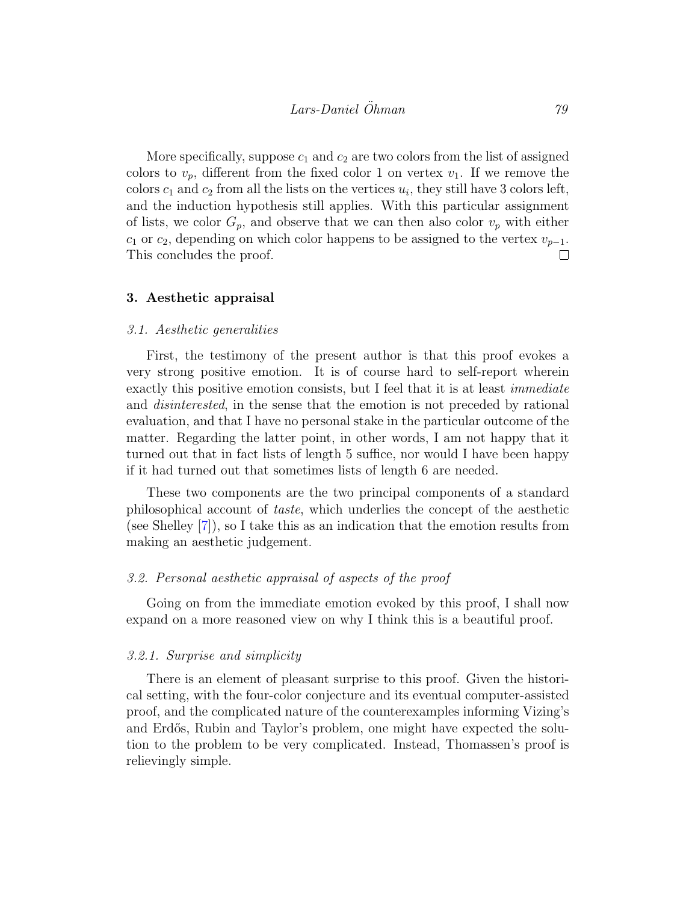More specifically, suppose  $c_1$  and  $c_2$  are two colors from the list of assigned colors to  $v_p$ , different from the fixed color 1 on vertex  $v_1$ . If we remove the colors  $c_1$  and  $c_2$  from all the lists on the vertices  $u_i$ , they still have 3 colors left, and the induction hypothesis still applies. With this particular assignment of lists, we color  $G_p$ , and observe that we can then also color  $v_p$  with either  $c_1$  or  $c_2$ , depending on which color happens to be assigned to the vertex  $v_{p-1}$ . This concludes the proof.  $\Box$ 

### <span id="page-7-0"></span>3. Aesthetic appraisal

### 3.1. Aesthetic generalities

First, the testimony of the present author is that this proof evokes a very strong positive emotion. It is of course hard to self-report wherein exactly this positive emotion consists, but I feel that it is at least *immediate* and disinterested, in the sense that the emotion is not preceded by rational evaluation, and that I have no personal stake in the particular outcome of the matter. Regarding the latter point, in other words, I am not happy that it turned out that in fact lists of length 5 suffice, nor would I have been happy if it had turned out that sometimes lists of length 6 are needed.

These two components are the two principal components of a standard philosophical account of taste, which underlies the concept of the aesthetic (see Shelley [\[7\]](#page-13-3)), so I take this as an indication that the emotion results from making an aesthetic judgement.

# <span id="page-7-1"></span>3.2. Personal aesthetic appraisal of aspects of the proof

Going on from the immediate emotion evoked by this proof, I shall now expand on a more reasoned view on why I think this is a beautiful proof.

### 3.2.1. Surprise and simplicity

There is an element of pleasant surprise to this proof. Given the historical setting, with the four-color conjecture and its eventual computer-assisted proof, and the complicated nature of the counterexamples informing Vizing's and Erdős, Rubin and Taylor's problem, one might have expected the solution to the problem to be very complicated. Instead, Thomassen's proof is relievingly simple.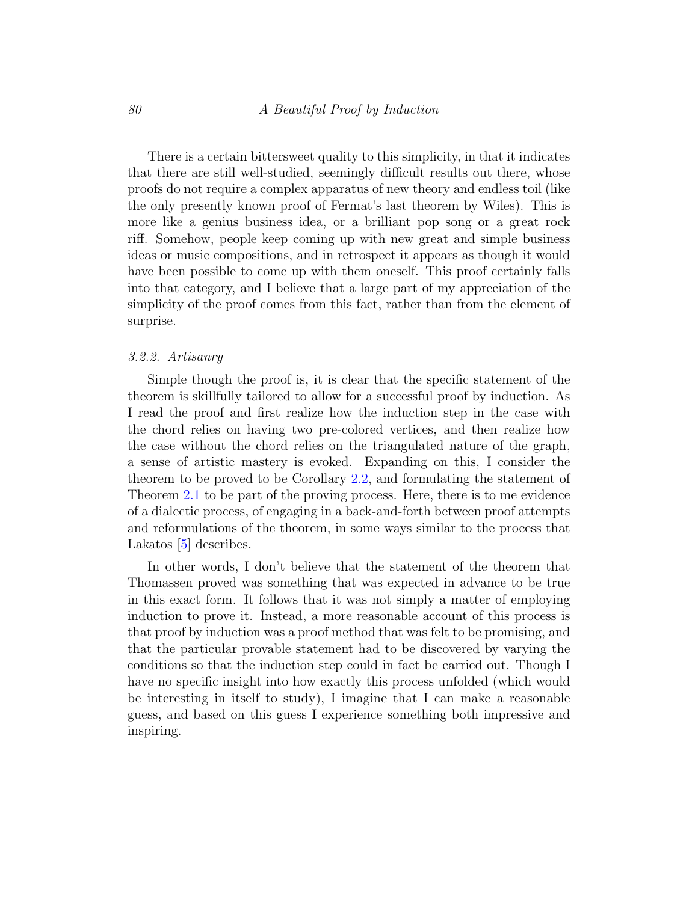There is a certain bittersweet quality to this simplicity, in that it indicates that there are still well-studied, seemingly difficult results out there, whose proofs do not require a complex apparatus of new theory and endless toil (like the only presently known proof of Fermat's last theorem by Wiles). This is more like a genius business idea, or a brilliant pop song or a great rock riff. Somehow, people keep coming up with new great and simple business ideas or music compositions, and in retrospect it appears as though it would have been possible to come up with them oneself. This proof certainly falls into that category, and I believe that a large part of my appreciation of the simplicity of the proof comes from this fact, rather than from the element of surprise.

### 3.2.2. Artisanry

Simple though the proof is, it is clear that the specific statement of the theorem is skillfully tailored to allow for a successful proof by induction. As I read the proof and first realize how the induction step in the case with the chord relies on having two pre-colored vertices, and then realize how the case without the chord relies on the triangulated nature of the graph, a sense of artistic mastery is evoked. Expanding on this, I consider the theorem to be proved to be Corollary [2.2,](#page-5-1) and formulating the statement of Theorem [2.1](#page-5-0) to be part of the proving process. Here, there is to me evidence of a dialectic process, of engaging in a back-and-forth between proof attempts and reformulations of the theorem, in some ways similar to the process that Lakatos [\[5\]](#page-13-4) describes.

In other words, I don't believe that the statement of the theorem that Thomassen proved was something that was expected in advance to be true in this exact form. It follows that it was not simply a matter of employing induction to prove it. Instead, a more reasonable account of this process is that proof by induction was a proof method that was felt to be promising, and that the particular provable statement had to be discovered by varying the conditions so that the induction step could in fact be carried out. Though I have no specific insight into how exactly this process unfolded (which would be interesting in itself to study), I imagine that I can make a reasonable guess, and based on this guess I experience something both impressive and inspiring.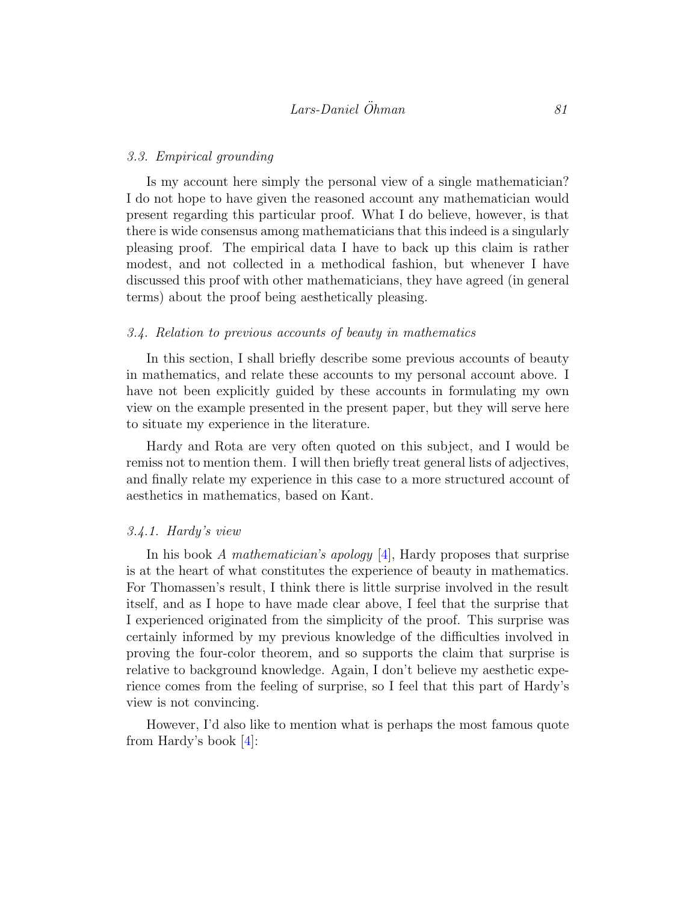### 3.3. Empirical grounding

Is my account here simply the personal view of a single mathematician? I do not hope to have given the reasoned account any mathematician would present regarding this particular proof. What I do believe, however, is that there is wide consensus among mathematicians that this indeed is a singularly pleasing proof. The empirical data I have to back up this claim is rather modest, and not collected in a methodical fashion, but whenever I have discussed this proof with other mathematicians, they have agreed (in general terms) about the proof being aesthetically pleasing.

## 3.4. Relation to previous accounts of beauty in mathematics

In this section, I shall briefly describe some previous accounts of beauty in mathematics, and relate these accounts to my personal account above. I have not been explicitly guided by these accounts in formulating my own view on the example presented in the present paper, but they will serve here to situate my experience in the literature.

Hardy and Rota are very often quoted on this subject, and I would be remiss not to mention them. I will then briefly treat general lists of adjectives, and finally relate my experience in this case to a more structured account of aesthetics in mathematics, based on Kant.

## 3.4.1. Hardy's view

In his book A mathematician's apology [\[4\]](#page-13-5), Hardy proposes that surprise is at the heart of what constitutes the experience of beauty in mathematics. For Thomassen's result, I think there is little surprise involved in the result itself, and as I hope to have made clear above, I feel that the surprise that I experienced originated from the simplicity of the proof. This surprise was certainly informed by my previous knowledge of the difficulties involved in proving the four-color theorem, and so supports the claim that surprise is relative to background knowledge. Again, I don't believe my aesthetic experience comes from the feeling of surprise, so I feel that this part of Hardy's view is not convincing.

However, I'd also like to mention what is perhaps the most famous quote from Hardy's book [\[4\]](#page-13-5):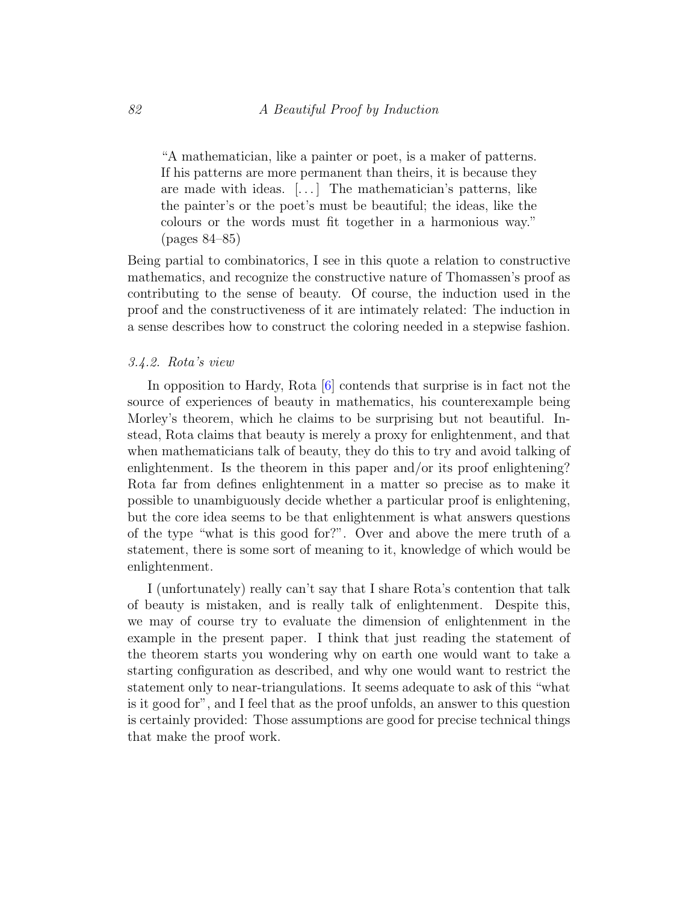"A mathematician, like a painter or poet, is a maker of patterns. If his patterns are more permanent than theirs, it is because they are made with ideas. [. . . ] The mathematician's patterns, like the painter's or the poet's must be beautiful; the ideas, like the colours or the words must fit together in a harmonious way." (pages 84–85)

Being partial to combinatorics, I see in this quote a relation to constructive mathematics, and recognize the constructive nature of Thomassen's proof as contributing to the sense of beauty. Of course, the induction used in the proof and the constructiveness of it are intimately related: The induction in a sense describes how to construct the coloring needed in a stepwise fashion.

## 3.4.2. Rota's view

In opposition to Hardy, Rota [\[6\]](#page-13-6) contends that surprise is in fact not the source of experiences of beauty in mathematics, his counterexample being Morley's theorem, which he claims to be surprising but not beautiful. Instead, Rota claims that beauty is merely a proxy for enlightenment, and that when mathematicians talk of beauty, they do this to try and avoid talking of enlightenment. Is the theorem in this paper and/or its proof enlightening? Rota far from defines enlightenment in a matter so precise as to make it possible to unambiguously decide whether a particular proof is enlightening, but the core idea seems to be that enlightenment is what answers questions of the type "what is this good for?". Over and above the mere truth of a statement, there is some sort of meaning to it, knowledge of which would be enlightenment.

I (unfortunately) really can't say that I share Rota's contention that talk of beauty is mistaken, and is really talk of enlightenment. Despite this, we may of course try to evaluate the dimension of enlightenment in the example in the present paper. I think that just reading the statement of the theorem starts you wondering why on earth one would want to take a starting configuration as described, and why one would want to restrict the statement only to near-triangulations. It seems adequate to ask of this "what is it good for", and I feel that as the proof unfolds, an answer to this question is certainly provided: Those assumptions are good for precise technical things that make the proof work.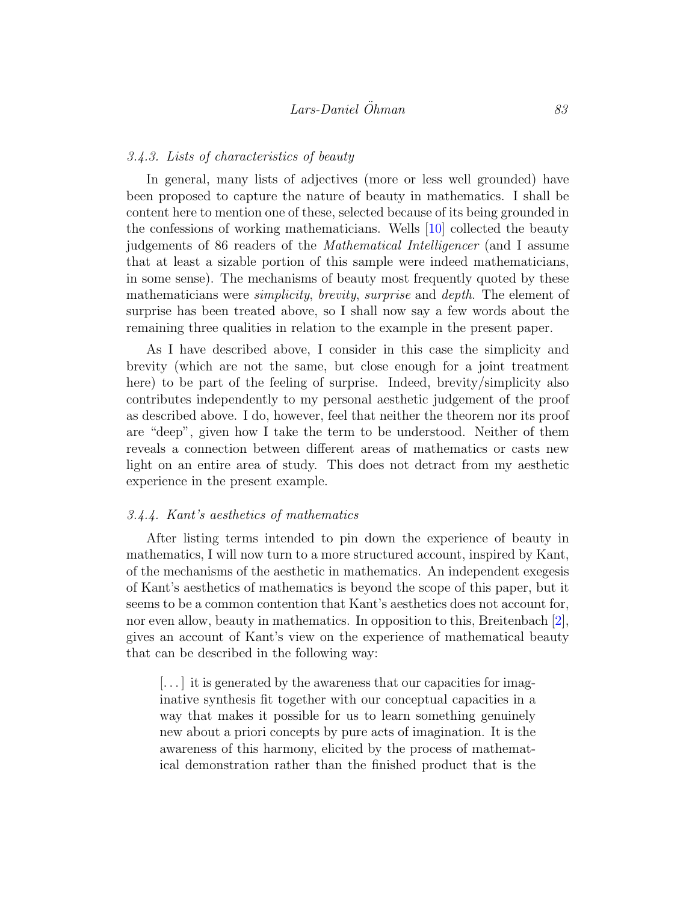## 3.4.3. Lists of characteristics of beauty

In general, many lists of adjectives (more or less well grounded) have been proposed to capture the nature of beauty in mathematics. I shall be content here to mention one of these, selected because of its being grounded in the confessions of working mathematicians. Wells [\[10\]](#page-13-7) collected the beauty judgements of 86 readers of the Mathematical Intelligencer (and I assume that at least a sizable portion of this sample were indeed mathematicians, in some sense). The mechanisms of beauty most frequently quoted by these mathematicians were *simplicity*, *brevity*, *surprise* and *depth*. The element of surprise has been treated above, so I shall now say a few words about the remaining three qualities in relation to the example in the present paper.

As I have described above, I consider in this case the simplicity and brevity (which are not the same, but close enough for a joint treatment here) to be part of the feeling of surprise. Indeed, brevity/simplicity also contributes independently to my personal aesthetic judgement of the proof as described above. I do, however, feel that neither the theorem nor its proof are "deep", given how I take the term to be understood. Neither of them reveals a connection between different areas of mathematics or casts new light on an entire area of study. This does not detract from my aesthetic experience in the present example.

## 3.4.4. Kant's aesthetics of mathematics

After listing terms intended to pin down the experience of beauty in mathematics, I will now turn to a more structured account, inspired by Kant, of the mechanisms of the aesthetic in mathematics. An independent exegesis of Kant's aesthetics of mathematics is beyond the scope of this paper, but it seems to be a common contention that Kant's aesthetics does not account for, nor even allow, beauty in mathematics. In opposition to this, Breitenbach [\[2\]](#page-12-3), gives an account of Kant's view on the experience of mathematical beauty that can be described in the following way:

[...] it is generated by the awareness that our capacities for imaginative synthesis fit together with our conceptual capacities in a way that makes it possible for us to learn something genuinely new about a priori concepts by pure acts of imagination. It is the awareness of this harmony, elicited by the process of mathematical demonstration rather than the finished product that is the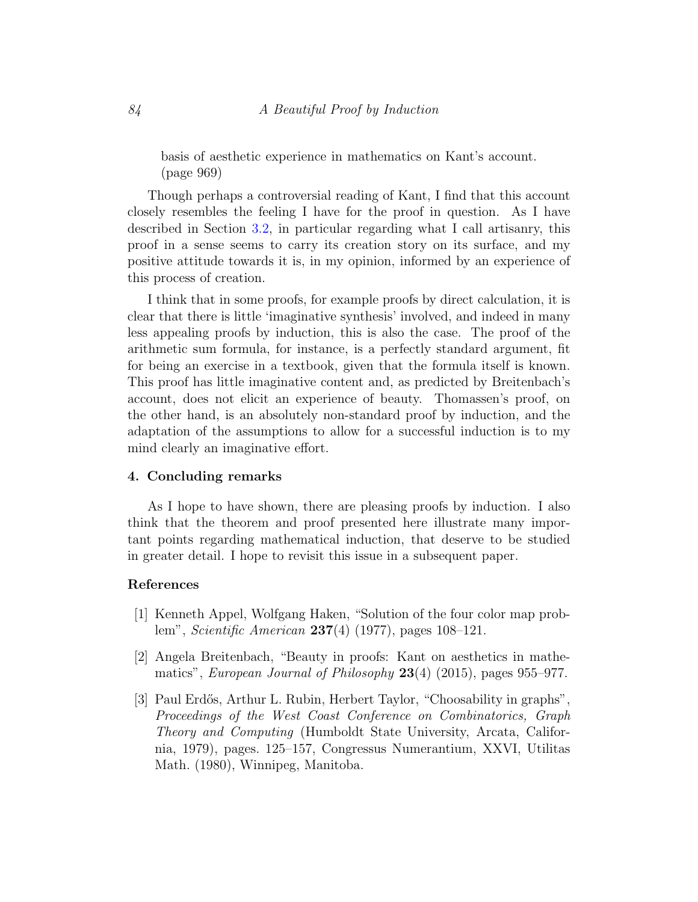basis of aesthetic experience in mathematics on Kant's account. (page 969)

Though perhaps a controversial reading of Kant, I find that this account closely resembles the feeling I have for the proof in question. As I have described in Section [3.2,](#page-7-1) in particular regarding what I call artisanry, this proof in a sense seems to carry its creation story on its surface, and my positive attitude towards it is, in my opinion, informed by an experience of this process of creation.

I think that in some proofs, for example proofs by direct calculation, it is clear that there is little 'imaginative synthesis' involved, and indeed in many less appealing proofs by induction, this is also the case. The proof of the arithmetic sum formula, for instance, is a perfectly standard argument, fit for being an exercise in a textbook, given that the formula itself is known. This proof has little imaginative content and, as predicted by Breitenbach's account, does not elicit an experience of beauty. Thomassen's proof, on the other hand, is an absolutely non-standard proof by induction, and the adaptation of the assumptions to allow for a successful induction is to my mind clearly an imaginative effort.

## <span id="page-12-0"></span>4. Concluding remarks

As I hope to have shown, there are pleasing proofs by induction. I also think that the theorem and proof presented here illustrate many important points regarding mathematical induction, that deserve to be studied in greater detail. I hope to revisit this issue in a subsequent paper.

## References

- <span id="page-12-1"></span>[1] Kenneth Appel, Wolfgang Haken, "Solution of the four color map problem", Scientific American 237(4) (1977), pages 108–121.
- <span id="page-12-3"></span>[2] Angela Breitenbach, "Beauty in proofs: Kant on aesthetics in mathematics", European Journal of Philosophy 23(4) (2015), pages 955–977.
- <span id="page-12-2"></span>[3] Paul Erd˝os, Arthur L. Rubin, Herbert Taylor, "Choosability in graphs", Proceedings of the West Coast Conference on Combinatorics, Graph Theory and Computing (Humboldt State University, Arcata, California, 1979), pages. 125–157, Congressus Numerantium, XXVI, Utilitas Math. (1980), Winnipeg, Manitoba.